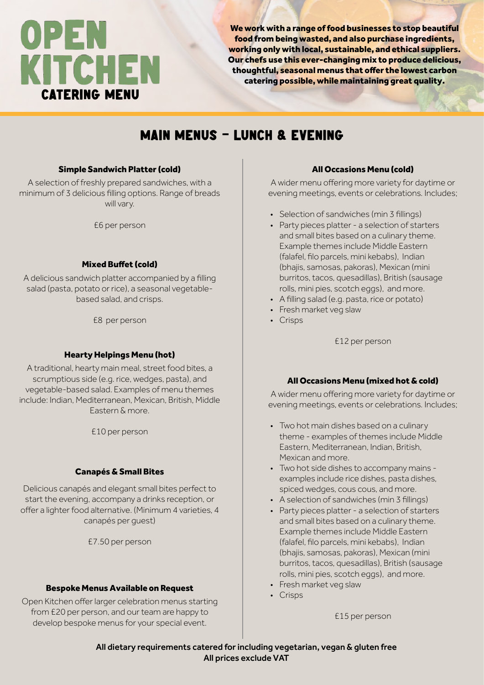# OPEN KITCHEN CATERING MENU

We work with a range of food businesses to stop beautiful food from being wasted, and also purchase ingredients, working only with local, sustainable, and ethical suppliers. Our chefs use this ever-changing mix to produce delicious, thoughtful, seasonal menus that offer the lowest carbon catering possible, while maintaining great quality.

# MAIN MENUS - LUNCH & EVENING

#### Simple Sandwich Platter (cold)

A selection of freshly prepared sandwiches, with a minimum of 3 delicious filling options. Range of breads will vary.

£6 per person

#### Mixed Buffet (cold)

A delicious sandwich platter accompanied by a filling salad (pasta, potato or rice), a seasonal vegetablebased salad, and crisps.

£8 per person

#### Hearty Helpings Menu (hot)

A traditional, hearty main meal, street food bites, a scrumptious side (e.g. rice, wedges, pasta), and vegetable-based salad. Examples of menu themes include: Indian, Mediterranean, Mexican, British, Middle Eastern & more.

£10 per person

#### Canapés & Small Bites

Delicious canapés and elegant small bites perfect to start the evening, accompany a drinks reception, or offer a lighter food alternative. (Minimum 4 varieties, 4 canapés per guest)

£7.50 per person

#### Bespoke Menus Available on Request

Open Kitchen offer larger celebration menus starting from £20 per person, and our team are happy to develop bespoke menus for your special event.

#### All Occasions Menu (cold)

A wider menu offering more variety for daytime or evening meetings, events or celebrations. Includes;

- Selection of sandwiches (min 3 fillings)
- Party pieces platter a selection of starters and small bites based on a culinary theme. Example themes include Middle Eastern (falafel, filo parcels, mini kebabs), Indian (bhajis, samosas, pakoras), Mexican (mini burritos, tacos, quesadillas), British (sausage rolls, mini pies, scotch eggs), and more.
- A filling salad (e.g. pasta, rice or potato)
- Fresh market veg slaw
- Crisps

£12 per person

#### All Occasions Menu (mixed hot & cold)

A wider menu offering more variety for daytime or evening meetings, events or celebrations. Includes;

- Two hot main dishes based on a culinary theme - examples of themes include Middle Eastern, Mediterranean, Indian, British, Mexican and more.
- Two hot side dishes to accompany mains examples include rice dishes, pasta dishes, spiced wedges, cous cous, and more.
- A selection of sandwiches (min 3 fillings)
- Party pieces platter a selection of starters and small bites based on a culinary theme. Example themes include Middle Eastern (falafel, filo parcels, mini kebabs), Indian (bhajis, samosas, pakoras), Mexican (mini burritos, tacos, quesadillas), British (sausage rolls, mini pies, scotch eggs), and more.
- Fresh market veg slaw
- Crisps

£15 per person

All dietary requirements catered for including vegetarian, vegan & gluten free All prices exclude VAT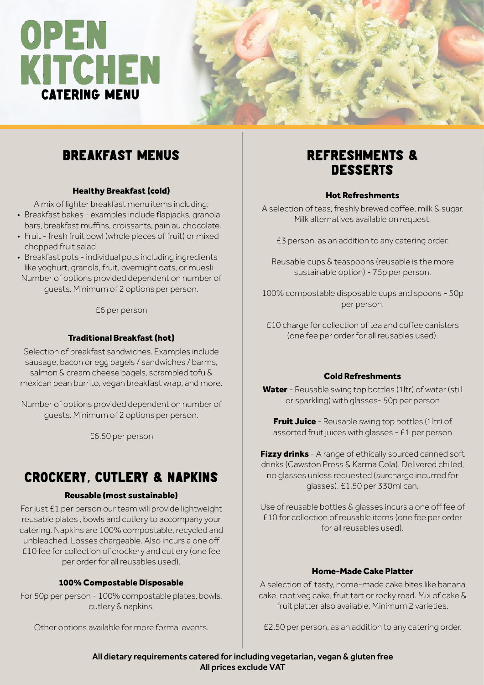# OPEN<br>KITCHEN<br>CATERING MENU



# BREAKFAST MENUS **REFRESHMENTS &**

#### Healthy Breakfast (cold)

A mix of lighter breakfast menu items including;

- Breakfast bakes examples include flapjacks, granola bars, breakfast muffins, croissants, pain au chocolate.
- Fruit fresh fruit bowl (whole pieces of fruit) or mixed chopped fruit salad
- Breakfast pots individual pots including ingredients like yoghurt, granola, fruit, overnight oats, or muesli Number of options provided dependent on number of guests. Minimum of 2 options per person.

£6 per person

#### Traditional Breakfast (hot)

Selection of breakfast sandwiches. Examples include sausage, bacon or egg bagels / sandwiches / barms, salmon & cream cheese bagels, scrambled tofu & mexican bean burrito, vegan breakfast wrap, and more.

Number of options provided dependent on number of guests. Minimum of 2 options per person.

£6.50 per person

# CROCKERY, CUTLERY & NAPKINS

#### Reusable (most sustainable)

For just £1 per person our team will provide lightweight reusable plates , bowls and cutlery to accompany your catering. Napkins are 100% compostable, recycled and unbleached. Losses chargeable. Also incurs a one off £10 fee for collection of crockery and cutlery (one fee per order for all reusables used).

#### 100% Compostable Disposable

For 50p per person - 100% compostable plates, bowls, cutlery & napkins.

Other options available for more formal events.

# **DESSERTS**

#### Hot Refreshments

A selection of teas, freshly brewed coffee, milk & sugar. Milk alternatives available on request.

£3 person, as an addition to any catering order.

Reusable cups & teaspoons (reusable is the more sustainable option) - 75p per person.

100% compostable disposable cups and spoons - 50p per person.

£10 charge for collection of tea and coffee canisters (one fee per order for all reusables used).

#### Cold Refreshments

Water - Reusable swing top bottles (1ltr) of water (still or sparkling) with glasses- 50p per person

**Fruit Juice** - Reusable swing top bottles (1ltr) of assorted fruit juices with glasses - £1 per person

Fizzy drinks - A range of ethically sourced canned soft drinks (Cawston Press & Karma Cola). Delivered chilled, no glasses unless requested (surcharge incurred for glasses). £1.50 per 330ml can.

Use of reusable bottles & glasses incurs a one off fee of £10 for collection of reusable items (one fee per order for all reusables used).

#### Home-Made Cake Platter

A selection of tasty, home-made cake bites like banana cake, root veg cake, fruit tart or rocky road. Mix of cake & fruit platter also available. Minimum 2 varieties.

£2.50 per person, as an addition to any catering order.

All dietary requirements catered for including vegetarian, vegan & gluten free All prices exclude VAT